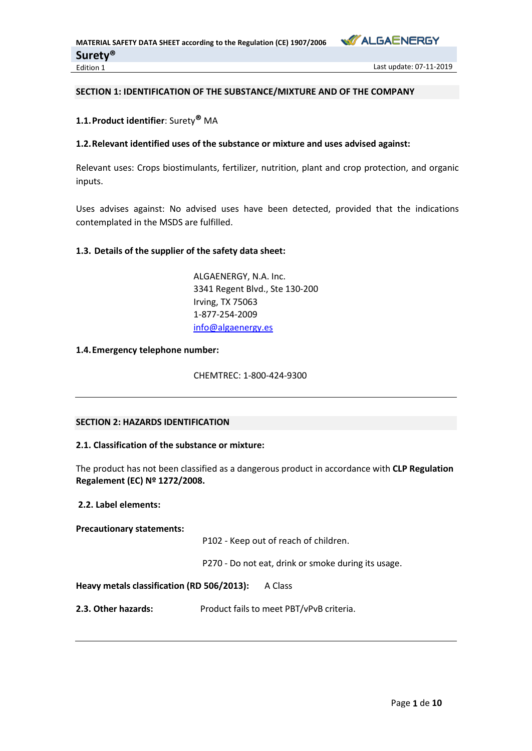

# **SECTION 1: IDENTIFICATION OF THE SUBSTANCE/MIXTURE AND OF THE COMPANY**

## **1.1.Product identifier**: Surety**®** MA

# **1.2.Relevant identified uses of the substance or mixture and uses advised against:**

Relevant uses: Crops biostimulants, fertilizer, nutrition, plant and crop protection, and organic inputs.

Uses advises against: No advised uses have been detected, provided that the indications contemplated in the MSDS are fulfilled.

### **1.3. Details of the supplier of the safety data sheet:**

ALGAENERGY, N.A. Inc. 3341 Regent Blvd., Ste 130-200 Irving, TX 75063 1-877-254-2009 [info@algaenergy.es](mailto:info@algaenergy.es)

### **1.4.Emergency telephone number:**

CHEMTREC: 1-800-424-9300

# **SECTION 2: HAZARDS IDENTIFICATION**

# **2.1. Classification of the substance or mixture:**

The product has not been classified as a dangerous product in accordance with **CLP Regulation Regalement (EC) Nº 1272/2008.**

# **2.2. Label elements:**

**Precautionary statements:**

P102 - Keep out of reach of children.

P270 - Do not eat, drink or smoke during its usage.

**Heavy metals classification (RD 506/2013):** A Class

**2.3. Other hazards:** Product fails to meet PBT/vPvB criteria.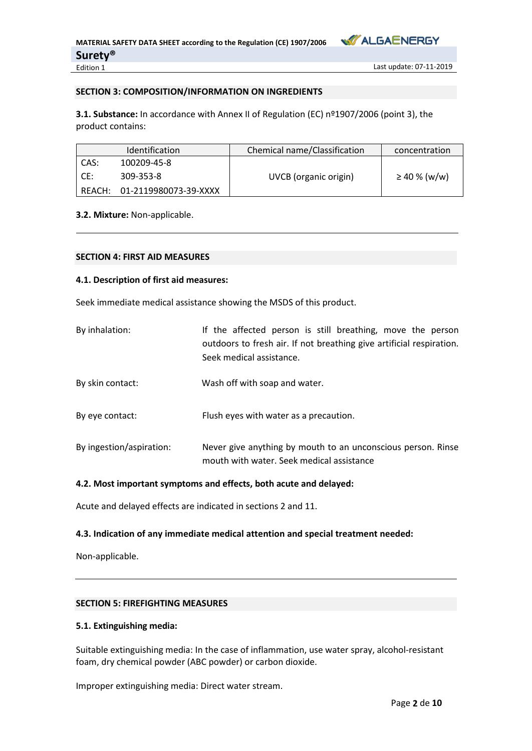

Last update: 07-11-2019

## **SECTION 3: COMPOSITION/INFORMATION ON INGREDIENTS**

**3.1. Substance:** In accordance with Annex II of Regulation (EC) nº1907/2006 (point 3), the product contains:

|        | <b>Identification</b> | Chemical name/Classification | concentration     |
|--------|-----------------------|------------------------------|-------------------|
| CAS:   | 100209-45-8           |                              |                   |
| CE:    | 309-353-8             | UVCB (organic origin)        | $\geq$ 40 % (w/w) |
| REACH: | 01-2119980073-39-XXXX |                              |                   |

## **3.2. Mixture:** Non-applicable.

### **SECTION 4: FIRST AID MEASURES**

### **4.1. Description of first aid measures:**

Seek immediate medical assistance showing the MSDS of this product.

| By inhalation:           | If the affected person is still breathing, move the person<br>outdoors to fresh air. If not breathing give artificial respiration.<br>Seek medical assistance. |
|--------------------------|----------------------------------------------------------------------------------------------------------------------------------------------------------------|
| By skin contact:         | Wash off with soap and water.                                                                                                                                  |
| By eye contact:          | Flush eyes with water as a precaution.                                                                                                                         |
| By ingestion/aspiration: | Never give anything by mouth to an unconscious person. Rinse<br>mouth with water. Seek medical assistance                                                      |

## **4.2. Most important symptoms and effects, both acute and delayed:**

Acute and delayed effects are indicated in sections 2 and 11.

### **4.3. Indication of any immediate medical attention and special treatment needed:**

Non-applicable.

# **SECTION 5: FIREFIGHTING MEASURES**

### **5.1. Extinguishing media:**

Suitable extinguishing media: In the case of inflammation, use water spray, alcohol-resistant foam, dry chemical powder (ABC powder) or carbon dioxide.

Improper extinguishing media: Direct water stream.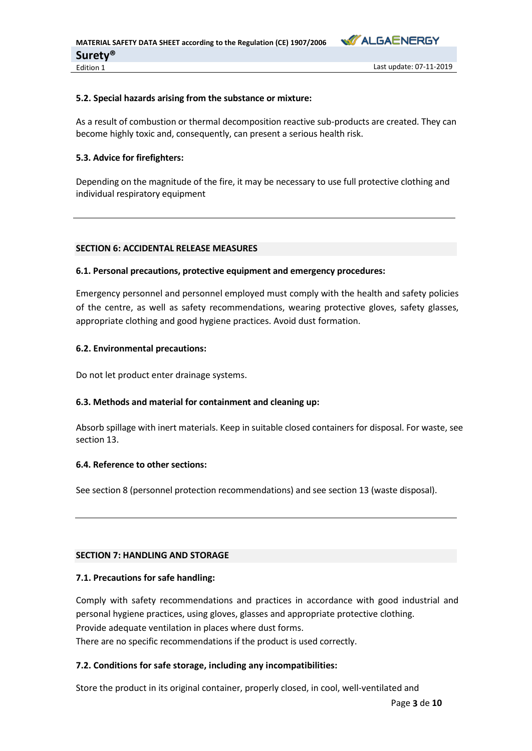

## **5.2. Special hazards arising from the substance or mixture:**

As a result of combustion or thermal decomposition reactive sub-products are created. They can become highly toxic and, consequently, can present a serious health risk.

# **5.3. Advice for firefighters:**

Depending on the magnitude of the fire, it may be necessary to use full protective clothing and individual respiratory equipment

## **SECTION 6: ACCIDENTAL RELEASE MEASURES**

## **6.1. Personal precautions, protective equipment and emergency procedures:**

Emergency personnel and personnel employed must comply with the health and safety policies of the centre, as well as safety recommendations, wearing protective gloves, safety glasses, appropriate clothing and good hygiene practices. Avoid dust formation.

## **6.2. Environmental precautions:**

Do not let product enter drainage systems.

# **6.3. Methods and material for containment and cleaning up:**

Absorb spillage with inert materials. Keep in suitable closed containers for disposal. For waste, see section 13.

# **6.4. Reference to other sections:**

See section 8 (personnel protection recommendations) and see section 13 (waste disposal).

### **SECTION 7: HANDLING AND STORAGE**

# **7.1. Precautions for safe handling:**

Comply with safety recommendations and practices in accordance with good industrial and personal hygiene practices, using gloves, glasses and appropriate protective clothing. Provide adequate ventilation in places where dust forms. There are no specific recommendations if the product is used correctly.

# **7.2. Conditions for safe storage, including any incompatibilities:**

Store the product in its original container, properly closed, in cool, well-ventilated and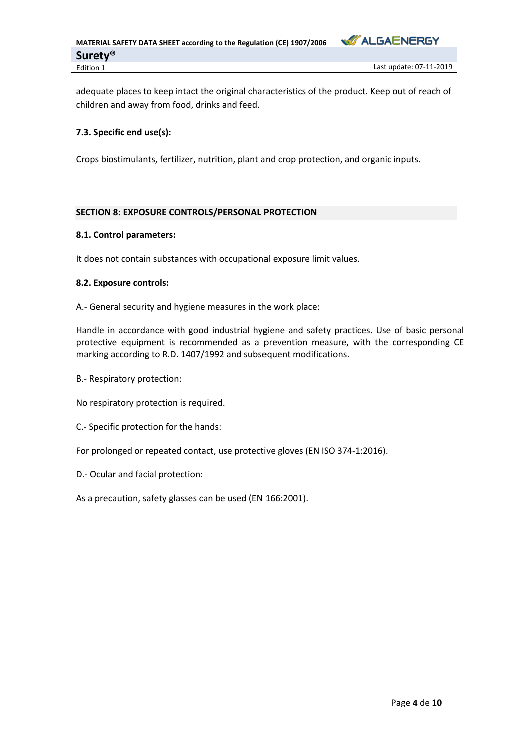

adequate places to keep intact the original characteristics of the product. Keep out of reach of children and away from food, drinks and feed.

# **7.3. Specific end use(s):**

Crops biostimulants, fertilizer, nutrition, plant and crop protection, and organic inputs.

# **SECTION 8: EXPOSURE CONTROLS/PERSONAL PROTECTION**

## **8.1. Control parameters:**

It does not contain substances with occupational exposure limit values.

## **8.2. Exposure controls:**

A.- General security and hygiene measures in the work place:

Handle in accordance with good industrial hygiene and safety practices. Use of basic personal protective equipment is recommended as a prevention measure, with the corresponding CE marking according to R.D. 1407/1992 and subsequent modifications.

B.- Respiratory protection:

No respiratory protection is required.

C.- Specific protection for the hands:

For prolonged or repeated contact, use protective gloves (EN ISO 374-1:2016).

D.- Ocular and facial protection:

As a precaution, safety glasses can be used (EN 166:2001).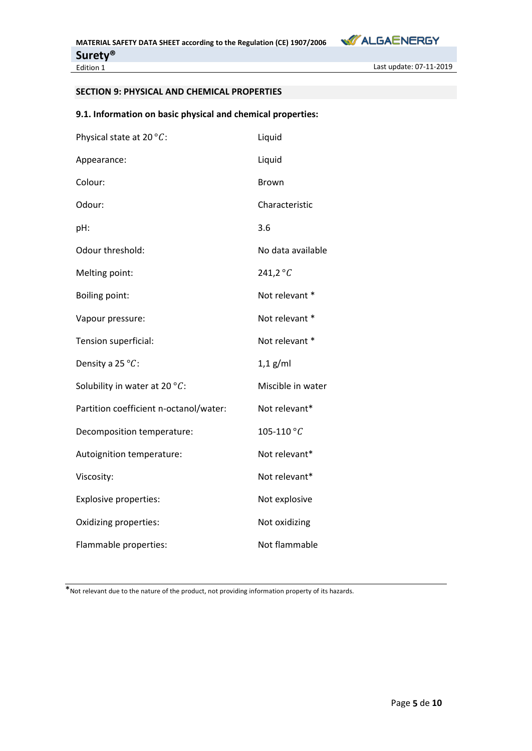

Last update: 07-11-2019

# **SECTION 9: PHYSICAL AND CHEMICAL PROPERTIES**

# **9.1. Information on basic physical and chemical properties:**

| Physical state at 20 $\degree$ C:      | Liquid            |
|----------------------------------------|-------------------|
| Appearance:                            | Liquid            |
| Colour:                                | Brown             |
| Odour:                                 | Characteristic    |
| pH:                                    | 3.6               |
| Odour threshold:                       | No data available |
| Melting point:                         | 241,2 $\degree$ C |
| <b>Boiling point:</b>                  | Not relevant *    |
| Vapour pressure:                       | Not relevant *    |
| Tension superficial:                   | Not relevant *    |
| Density a 25 °C:                       | $1,1$ g/ml        |
| Solubility in water at 20 $°C$ :       | Miscible in water |
| Partition coefficient n-octanol/water: | Not relevant*     |
| Decomposition temperature:             | 105-110 $°C$      |
| Autoignition temperature:              | Not relevant*     |
| Viscosity:                             | Not relevant*     |
| Explosive properties:                  | Not explosive     |
| Oxidizing properties:                  | Not oxidizing     |
| Flammable properties:                  | Not flammable     |

\*Not relevant due to the nature of the product, not providing information property of its hazards.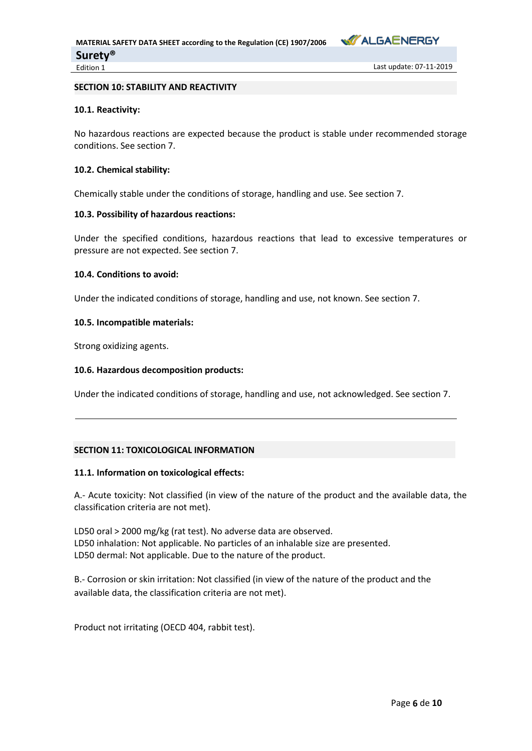

## **SECTION 10: STABILITY AND REACTIVITY**

# **10.1. Reactivity:**

No hazardous reactions are expected because the product is stable under recommended storage conditions. See section 7.

## **10.2. Chemical stability:**

Chemically stable under the conditions of storage, handling and use. See section 7.

# **10.3. Possibility of hazardous reactions:**

Under the specified conditions, hazardous reactions that lead to excessive temperatures or pressure are not expected. See section 7.

# **10.4. Conditions to avoid:**

Under the indicated conditions of storage, handling and use, not known. See section 7.

## **10.5. Incompatible materials:**

Strong oxidizing agents.

## **10.6. Hazardous decomposition products:**

Under the indicated conditions of storage, handling and use, not acknowledged. See section 7.

# **SECTION 11: TOXICOLOGICAL INFORMATION**

### **11.1. Information on toxicological effects:**

A.- Acute toxicity: Not classified (in view of the nature of the product and the available data, the classification criteria are not met).

LD50 oral > 2000 mg/kg (rat test). No adverse data are observed. LD50 inhalation: Not applicable. No particles of an inhalable size are presented. LD50 dermal: Not applicable. Due to the nature of the product.

B.- Corrosion or skin irritation: Not classified (in view of the nature of the product and the available data, the classification criteria are not met).

Product not irritating (OECD 404, rabbit test).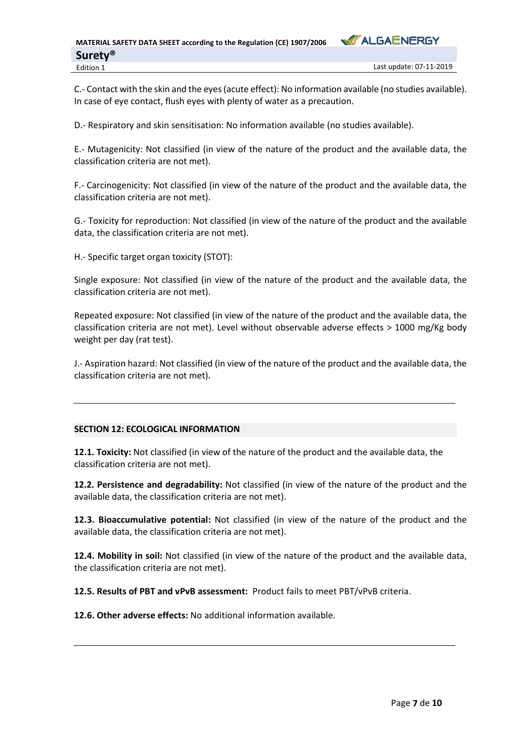

C.- Contact with the skin and the eyes (acute effect): No information available (no studies available). In case of eye contact, flush eyes with plenty of water as a precaution.

D.- Respiratory and skin sensitisation: No information available (no studies available).

E.- Mutagenicity: Not classified (in view of the nature of the product and the available data, the classification criteria are not met).

F.- Carcinogenicity: Not classified (in view of the nature of the product and the available data, the classification criteria are not met).

G.- Toxicity for reproduction: Not classified (in view of the nature of the product and the available data, the classification criteria are not met).

H.- Specific target organ toxicity (STOT):

Single exposure: Not classified (in view of the nature of the product and the available data, the classification criteria are not met).

Repeated exposure: Not classified (in view of the nature of the product and the available data, the classification criteria are not met). Level without observable adverse effects > 1000 mg/Kg body weight per day (rat test).

J.- Aspiration hazard: Not classified (in view of the nature of the product and the available data, the classification criteria are not met).

# **SECTION 12: ECOLOGICAL INFORMATION**

**12.1. Toxicity:** Not classified (in view of the nature of the product and the available data, the classification criteria are not met).

**12.2. Persistence and degradability:** Not classified (in view of the nature of the product and the available data, the classification criteria are not met).

**12.3. Bioaccumulative potential:** Not classified (in view of the nature of the product and the available data, the classification criteria are not met).

**12.4. Mobility in soil:** Not classified (in view of the nature of the product and the available data, the classification criteria are not met).

**12.5. Results of PBT and vPvB assessment:** Product fails to meet PBT/vPvB criteria.

**12.6. Other adverse effects:** No additional information available.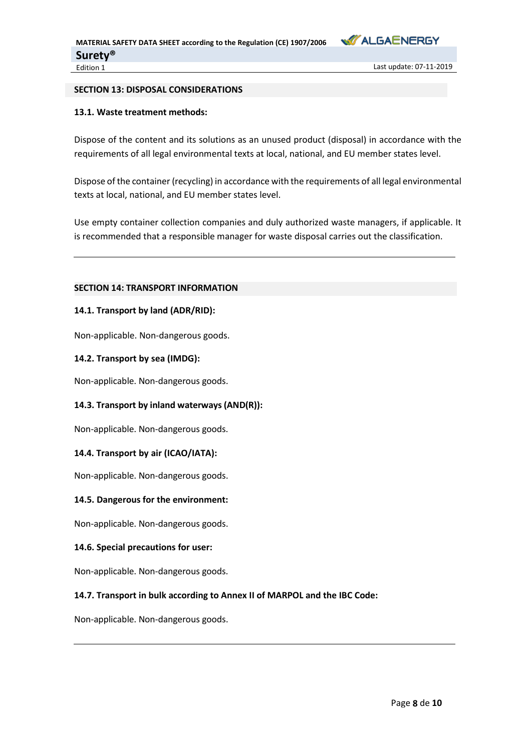

Last update: 07-11-2019

## **SECTION 13: DISPOSAL CONSIDERATIONS**

# **13.1. Waste treatment methods:**

Dispose of the content and its solutions as an unused product (disposal) in accordance with the requirements of all legal environmental texts at local, national, and EU member states level.

Dispose of the container (recycling) in accordance with the requirements of all legal environmental texts at local, national, and EU member states level.

Use empty container collection companies and duly authorized waste managers, if applicable. It is recommended that a responsible manager for waste disposal carries out the classification.

# **SECTION 14: TRANSPORT INFORMATION**

# **14.1. Transport by land (ADR/RID):**

Non-applicable. Non-dangerous goods.

## **14.2. Transport by sea (IMDG):**

Non-applicable. Non-dangerous goods.

# **14.3. Transport by inland waterways (AND(R)):**

Non-applicable. Non-dangerous goods.

# **14.4. Transport by air (ICAO/IATA):**

Non-applicable. Non-dangerous goods.

# **14.5. Dangerous for the environment:**

Non-applicable. Non-dangerous goods.

### **14.6. Special precautions for user:**

Non-applicable. Non-dangerous goods.

# **14.7. Transport in bulk according to Annex II of MARPOL and the IBC Code:**

Non-applicable. Non-dangerous goods.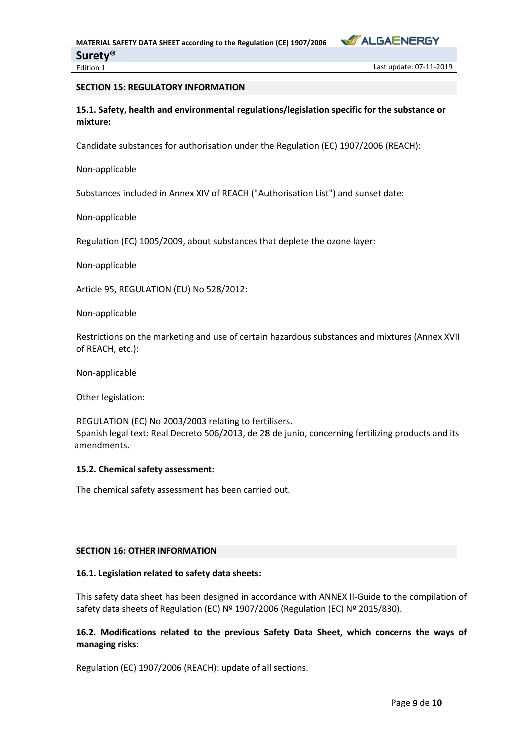

## **SECTION 15: REGULATORY INFORMATION**

**15.1. Safety, health and environmental regulations/legislation specific for the substance or mixture:**

Candidate substances for authorisation under the Regulation (EC) 1907/2006 (REACH):

Non-applicable

Substances included in Annex XIV of REACH ("Authorisation List") and sunset date:

Non-applicable

Regulation (EC) 1005/2009, about substances that deplete the ozone layer:

Non-applicable

Article 95, REGULATION (EU) No 528/2012:

Non-applicable

Restrictions on the marketing and use of certain hazardous substances and mixtures (Annex XVII of REACH, etc.):

Non-applicable

Other legislation:

REGULATION (EC) No 2003/2003 relating to fertilisers. Spanish legal text: Real Decreto 506/2013, de 28 de junio, concerning fertilizing products and its amendments.

### **15.2. Chemical safety assessment:**

The chemical safety assessment has been carried out.

# **SECTION 16: OTHER INFORMATION**

### **16.1. Legislation related to safety data sheets:**

This safety data sheet has been designed in accordance with ANNEX II-Guide to the compilation of safety data sheets of Regulation (EC) Nº 1907/2006 (Regulation (EC) Nº 2015/830).

# **16.2. Modifications related to the previous Safety Data Sheet, which concerns the ways of managing risks:**

Regulation (EC) 1907/2006 (REACH): update of all sections.